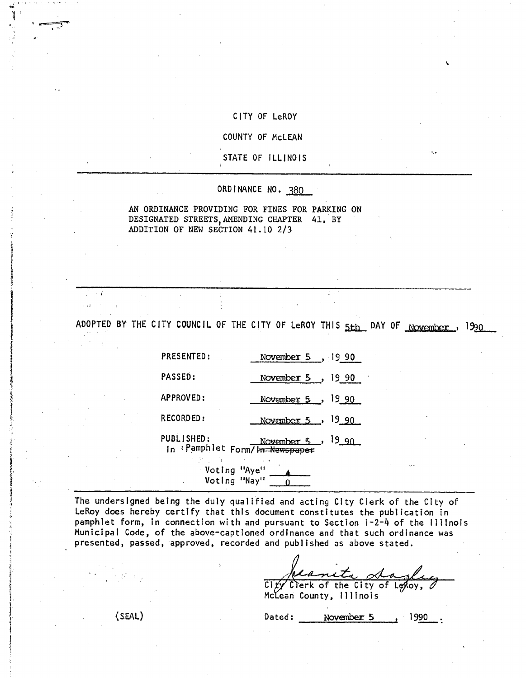#### CITY OF LeROY

## COUNTY OF McLEAN

#### STATE OF ILLINOIS

#### ORDINANCE NO. 380

### AN ORDINANCE PROVIDING FOR FINES FOR PARKING ON DESIGNATED STREETS,AMENDING CHAPTER 41, BY ADDITION OF NEW SECTION 41.10 2/3

ADOPTED BY THE CITY COUNCIL OF THE CITY OF LeROY THIS 5th DAY OF November, 1990

PRESENTED: November 5, 19 90 PASSED: November 5, 1990 APPROVED: November 5, 1990  $RECORDED:$  November 5, 19 90  $PUBLISHED:$  November 5, 19.90

In : Pamphlet Form/In Newspaper

Voting "Aye" -<br>Voting "Nay" -

The undersigned being the duly qualified and acting City Clerk of the City of LeRoy does hereby certify that this document constitutes the publication in pamphlet form, in connection with and pursuant to Section 1-2-4 of the Illinois Municipal Code, of the above-captioned ordinance and that such ordinance was presented, passed, approved, recorded and published as above stated.

 $City$  Clerk of the City of Lekoy,

1.

McLean County, Illinois

(SEAL) Dated: November 5 1990.

 $\ddot{\phantom{0}}$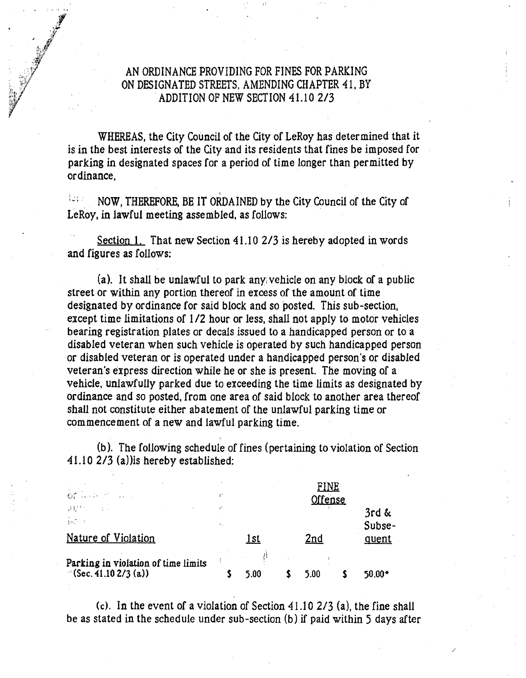# AN ORDINANCE PROVIDING FOR FINES FOR PARKING ON DESIGNATED STREETS, AMENDING CHAPTER 41, BY ADDITION OF NEW SECTION 41.10 2/3

WHEREAS, the City Council of the City of LeRoy has determined that it is in the best interests of the City and its residents that fines be imposed for parking in designated spaces for a period of time longer than permitted by ordinance,

 $\frac{1}{2}$  ,  $\frac{1}{2}$  ,  $\frac{1}{2}$  ,  $\frac{1}{2}$ NOW, THEREFORE, BE IT ORDAINED by the City Council of the City of LeRoy, in lawful meeting assembled, as follows:

Section 1. That new Section 41.10 2/3 is hereby adopted in words and figures as follows:

(a). It shall be unlawful to park any, vehicle on any block of a public street or within any portion thereof in excess of the amount of time designated by ordinance for said block and so posted. This sub-section, except time limitations of 1/2 hour or less, shall not apply to motor vehicles bearing registration plates or decals issued to a handicapped person or to a disabled veteran when such vehicle is operated by such handicapped person or disabled veteran or is operated under a handicapped person's or disabled veteran's express direction while he or she is present. The moving of a vehicle, unlawfully parked due to exceeding the time limits as designated by ordinance and so posted, from one area of said block to another area thereof shall not constitute either abatement of the unlawful parking time or commencement of a new and lawful parking time.

(b). The following schedule of fines (pertaining to violation of Section 41.10 2/3 (a))is hereby established:

| $\mathbf{G}_k^{\mathbf{a}}$ , and $\mathbf{G}_k^{\mathbf{a}}$ , and $\mathbf{G}_k$        |      | <u>FINE</u><br>Offense |      |  |                 |  |
|-------------------------------------------------------------------------------------------|------|------------------------|------|--|-----------------|--|
| 2020年1月11日<br>$\sim 10^{-10}$ km $^{-1}$<br>$\frac{1}{3}$ , $\frac{1}{2}$ , $\frac{1}{2}$ |      |                        |      |  | 3rd &<br>Subse- |  |
| Nature of Violation                                                                       | 1st  |                        | 2nd  |  | quent           |  |
| Parking in violation of time limits<br>$\sim$ (Sec. 41.10 2/3 (a))                        | 5.00 |                        | 5.00 |  | $50.00*$        |  |

(c). In the event of a violation of Section 41.10 2/3 (a), the fine shall be as stated in the schedule under sub-section (b).if paid within 5 days after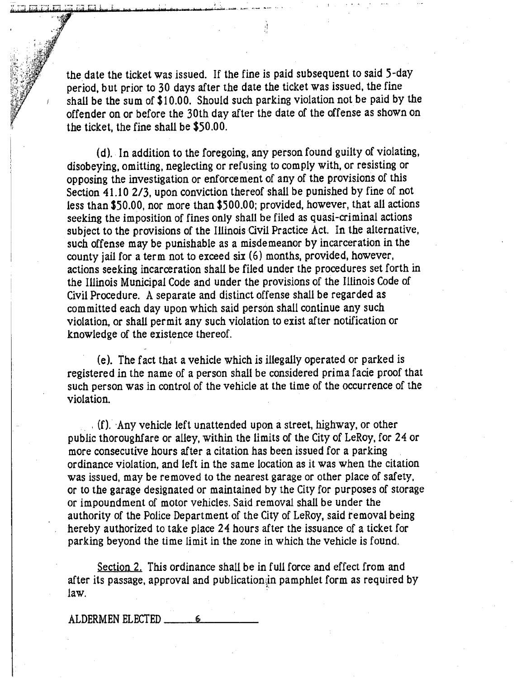the date the ticket was issued. If the fine is paid subsequent to said 5-day period, but prior to 30 days after the date the ticket was issued, the fine shall be the sum of \$10.00. Should such parking violation not be paid by the offender on or before the 30th day after the date of the offense as shown on the ticket, the fine shall be  $$50.00$ .

(d). In addition to the foregoing, any person found guilty of violating, disobeying, omitting, neglecting or refusing to comply with, or resisting or opposing the investigation or enforcement of any of the provisions of this Section 41.10 2/3, upon conviction thereof shall be punished by fine of not less than \$50.00, nor more than \$500.00; provided, however, that all actions seeking the imposition of fines only shall be filed as quasi-criminal actions subject to the provisions of the Illinois Civil Practice Act. In the alternative, such offense may be punishable as a misdemeanor by incarceration in the county jail for a term not to exceed six (6) months, provided, however, actions seeking incarceration shall be filed under the procedures set forth in the Illinois Municipal Code and under the provisions of the Illinois Code of Civil Procedure. A separate and distinct offense shall be regarded as committed each day upon which said person shall continue any such violation, or shall permit any such violation to exist after notification or knowledge of the existence thereof.

(e). The fact that a vehicle which is illegally operated or parked is registered in the name of a person shall be considered prima facie proof that such person was in control of the vehicle at the time of the occurrence of the violation.

 $(f)$ . Any vehicle left unattended upon a street, highway, or other public thoroughfare or alley, within the limits of the City of LeRoy, for 24 or more consecutive hours after a citation has been issued for a parking . ordinance violation, and left in the same location as it was when the citation was issued, may be removed to the nearest garage or other place of safety, or to the garage designated or maintained by the City for purposes of storage or impoundment of motor vehicles. Said removal shall be under the authority of the Police Department of the City of LeRoy, said removal being hereby authorized to take place 24 hours after the issuance of a ticket for parking beyond the time limit in the zone in which the vehicle is found.

Section 2. This ordinance shall be in full force and effect from and after its passage, approval and publication in pamphlet form as required by law.

ALDERMEN ELECTED

.... 1 لتندير التعمل والجراري